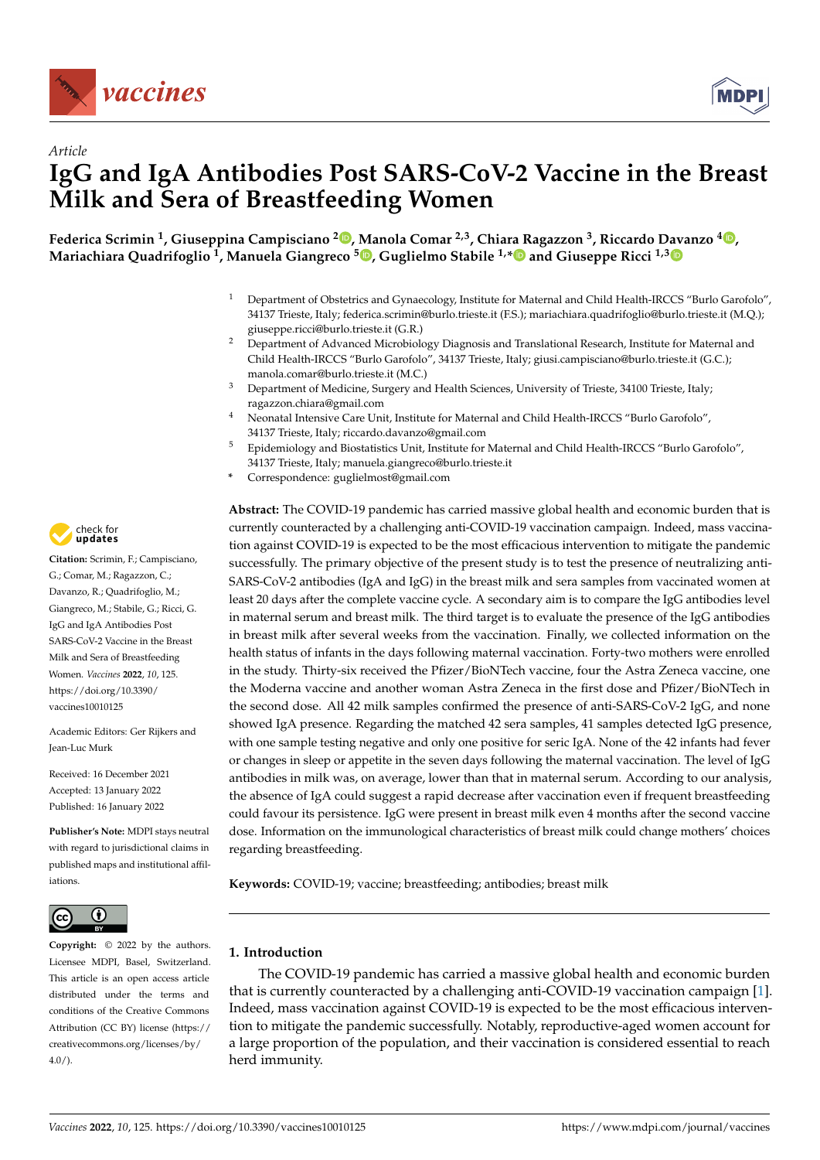



**Federica Scrimin <sup>1</sup> , Giuseppina Campisciano <sup>2</sup> [,](https://orcid.org/0000-0002-2307-5537) Manola Comar 2,3, Chiara Ragazzon <sup>3</sup> , Riccardo Davanzo <sup>4</sup> [,](https://orcid.org/0000-0001-8315-8097) Mariachiara Quadrifoglio <sup>1</sup> , Manuela Giangreco <sup>5</sup> [,](https://orcid.org/0000-0002-4479-3087) Guglielmo Stabile 1,[\\*](https://orcid.org/0000-0001-9266-3896) and Giuseppe Ricci 1,[3](https://orcid.org/0000-0002-8031-1102)**

- <sup>1</sup> Department of Obstetrics and Gynaecology, Institute for Maternal and Child Health-IRCCS "Burlo Garofolo", 34137 Trieste, Italy; federica.scrimin@burlo.trieste.it (F.S.); mariachiara.quadrifoglio@burlo.trieste.it (M.Q.); giuseppe.ricci@burlo.trieste.it (G.R.)
- <sup>2</sup> Department of Advanced Microbiology Diagnosis and Translational Research, Institute for Maternal and Child Health-IRCCS "Burlo Garofolo", 34137 Trieste, Italy; giusi.campisciano@burlo.trieste.it (G.C.); manola.comar@burlo.trieste.it (M.C.)
- <sup>3</sup> Department of Medicine, Surgery and Health Sciences, University of Trieste, 34100 Trieste, Italy; ragazzon.chiara@gmail.com
- <sup>4</sup> Neonatal Intensive Care Unit, Institute for Maternal and Child Health-IRCCS "Burlo Garofolo", 34137 Trieste, Italy; riccardo.davanzo@gmail.com
- <sup>5</sup> Epidemiology and Biostatistics Unit, Institute for Maternal and Child Health-IRCCS "Burlo Garofolo", 34137 Trieste, Italy; manuela.giangreco@burlo.trieste.it
- **\*** Correspondence: guglielmost@gmail.com

**Abstract:** The COVID-19 pandemic has carried massive global health and economic burden that is currently counteracted by a challenging anti-COVID-19 vaccination campaign. Indeed, mass vaccination against COVID-19 is expected to be the most efficacious intervention to mitigate the pandemic successfully. The primary objective of the present study is to test the presence of neutralizing anti-SARS-CoV-2 antibodies (IgA and IgG) in the breast milk and sera samples from vaccinated women at least 20 days after the complete vaccine cycle. A secondary aim is to compare the IgG antibodies level in maternal serum and breast milk. The third target is to evaluate the presence of the IgG antibodies in breast milk after several weeks from the vaccination. Finally, we collected information on the health status of infants in the days following maternal vaccination. Forty-two mothers were enrolled in the study. Thirty-six received the Pfizer/BioNTech vaccine, four the Astra Zeneca vaccine, one the Moderna vaccine and another woman Astra Zeneca in the first dose and Pfizer/BioNTech in the second dose. All 42 milk samples confirmed the presence of anti-SARS-CoV-2 IgG, and none showed IgA presence. Regarding the matched 42 sera samples, 41 samples detected IgG presence, with one sample testing negative and only one positive for seric IgA. None of the 42 infants had fever or changes in sleep or appetite in the seven days following the maternal vaccination. The level of IgG antibodies in milk was, on average, lower than that in maternal serum. According to our analysis, the absence of IgA could suggest a rapid decrease after vaccination even if frequent breastfeeding could favour its persistence. IgG were present in breast milk even 4 months after the second vaccine dose. Information on the immunological characteristics of breast milk could change mothers' choices regarding breastfeeding.

**Keywords:** COVID-19; vaccine; breastfeeding; antibodies; breast milk

# **1. Introduction**

The COVID-19 pandemic has carried a massive global health and economic burden that is currently counteracted by a challenging anti-COVID-19 vaccination campaign [\[1\]](#page-7-0). Indeed, mass vaccination against COVID-19 is expected to be the most efficacious intervention to mitigate the pandemic successfully. Notably, reproductive-aged women account for a large proportion of the population, and their vaccination is considered essential to reach herd immunity.



**Citation:** Scrimin, F.; Campisciano, G.; Comar, M.; Ragazzon, C.; Davanzo, R.; Quadrifoglio, M.; Giangreco, M.; Stabile, G.; Ricci, G. IgG and IgA Antibodies Post SARS-CoV-2 Vaccine in the Breast Milk and Sera of Breastfeeding Women. *Vaccines* **2022**, *10*, 125. [https://doi.org/10.3390/](https://doi.org/10.3390/vaccines10010125) [vaccines10010125](https://doi.org/10.3390/vaccines10010125)

Academic Editors: Ger Rijkers and Jean-Luc Murk

Received: 16 December 2021 Accepted: 13 January 2022 Published: 16 January 2022

**Publisher's Note:** MDPI stays neutral with regard to jurisdictional claims in published maps and institutional affiliations.



**Copyright:** © 2022 by the authors. Licensee MDPI, Basel, Switzerland. This article is an open access article distributed under the terms and conditions of the Creative Commons Attribution (CC BY) license [\(https://](https://creativecommons.org/licenses/by/4.0/) [creativecommons.org/licenses/by/](https://creativecommons.org/licenses/by/4.0/)  $4.0/$ ).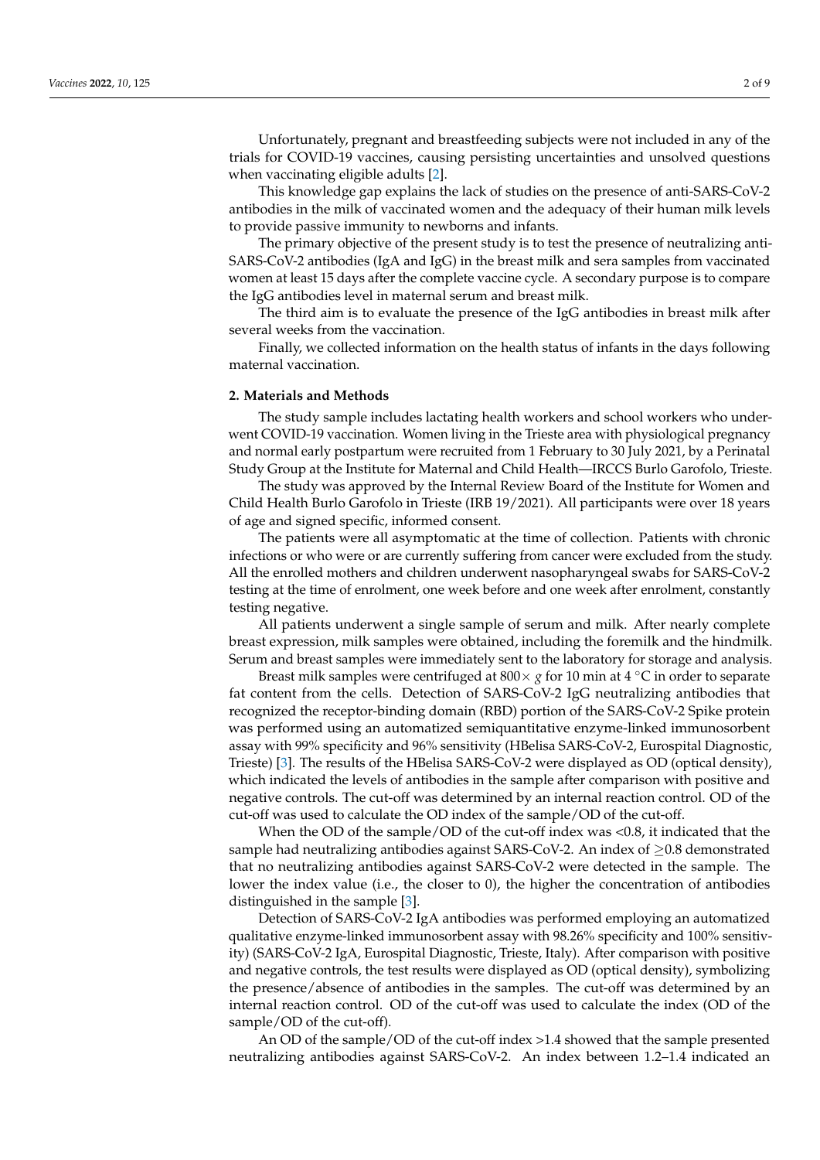Unfortunately, pregnant and breastfeeding subjects were not included in any of the trials for COVID-19 vaccines, causing persisting uncertainties and unsolved questions when vaccinating eligible adults [\[2\]](#page-7-1).

This knowledge gap explains the lack of studies on the presence of anti-SARS-CoV-2 antibodies in the milk of vaccinated women and the adequacy of their human milk levels to provide passive immunity to newborns and infants.

The primary objective of the present study is to test the presence of neutralizing anti-SARS-CoV-2 antibodies (IgA and IgG) in the breast milk and sera samples from vaccinated women at least 15 days after the complete vaccine cycle. A secondary purpose is to compare the IgG antibodies level in maternal serum and breast milk.

The third aim is to evaluate the presence of the IgG antibodies in breast milk after several weeks from the vaccination.

Finally, we collected information on the health status of infants in the days following maternal vaccination.

#### **2. Materials and Methods**

The study sample includes lactating health workers and school workers who underwent COVID-19 vaccination. Women living in the Trieste area with physiological pregnancy and normal early postpartum were recruited from 1 February to 30 July 2021, by a Perinatal Study Group at the Institute for Maternal and Child Health—IRCCS Burlo Garofolo, Trieste.

The study was approved by the Internal Review Board of the Institute for Women and Child Health Burlo Garofolo in Trieste (IRB 19/2021). All participants were over 18 years of age and signed specific, informed consent.

The patients were all asymptomatic at the time of collection. Patients with chronic infections or who were or are currently suffering from cancer were excluded from the study. All the enrolled mothers and children underwent nasopharyngeal swabs for SARS-CoV-2 testing at the time of enrolment, one week before and one week after enrolment, constantly testing negative.

All patients underwent a single sample of serum and milk. After nearly complete breast expression, milk samples were obtained, including the foremilk and the hindmilk. Serum and breast samples were immediately sent to the laboratory for storage and analysis.

Breast milk samples were centrifuged at  $800 \times g$  for 10 min at 4  $\degree$ C in order to separate fat content from the cells. Detection of SARS-CoV-2 IgG neutralizing antibodies that recognized the receptor-binding domain (RBD) portion of the SARS-CoV-2 Spike protein was performed using an automatized semiquantitative enzyme-linked immunosorbent assay with 99% specificity and 96% sensitivity (HBelisa SARS-CoV-2, Eurospital Diagnostic, Trieste) [\[3\]](#page-7-2). The results of the HBelisa SARS-CoV-2 were displayed as OD (optical density), which indicated the levels of antibodies in the sample after comparison with positive and negative controls. The cut-off was determined by an internal reaction control. OD of the cut-off was used to calculate the OD index of the sample/OD of the cut-off.

When the OD of the sample/OD of the cut-off index was <0.8, it indicated that the sample had neutralizing antibodies against SARS-CoV-2. An index of  $\geq$ 0.8 demonstrated that no neutralizing antibodies against SARS-CoV-2 were detected in the sample. The lower the index value (i.e., the closer to 0), the higher the concentration of antibodies distinguished in the sample [\[3\]](#page-7-2).

Detection of SARS-CoV-2 IgA antibodies was performed employing an automatized qualitative enzyme-linked immunosorbent assay with 98.26% specificity and 100% sensitivity) (SARS-CoV-2 IgA, Eurospital Diagnostic, Trieste, Italy). After comparison with positive and negative controls, the test results were displayed as OD (optical density), symbolizing the presence/absence of antibodies in the samples. The cut-off was determined by an internal reaction control. OD of the cut-off was used to calculate the index (OD of the sample/OD of the cut-off).

An OD of the sample/OD of the cut-off index >1.4 showed that the sample presented neutralizing antibodies against SARS-CoV-2. An index between 1.2–1.4 indicated an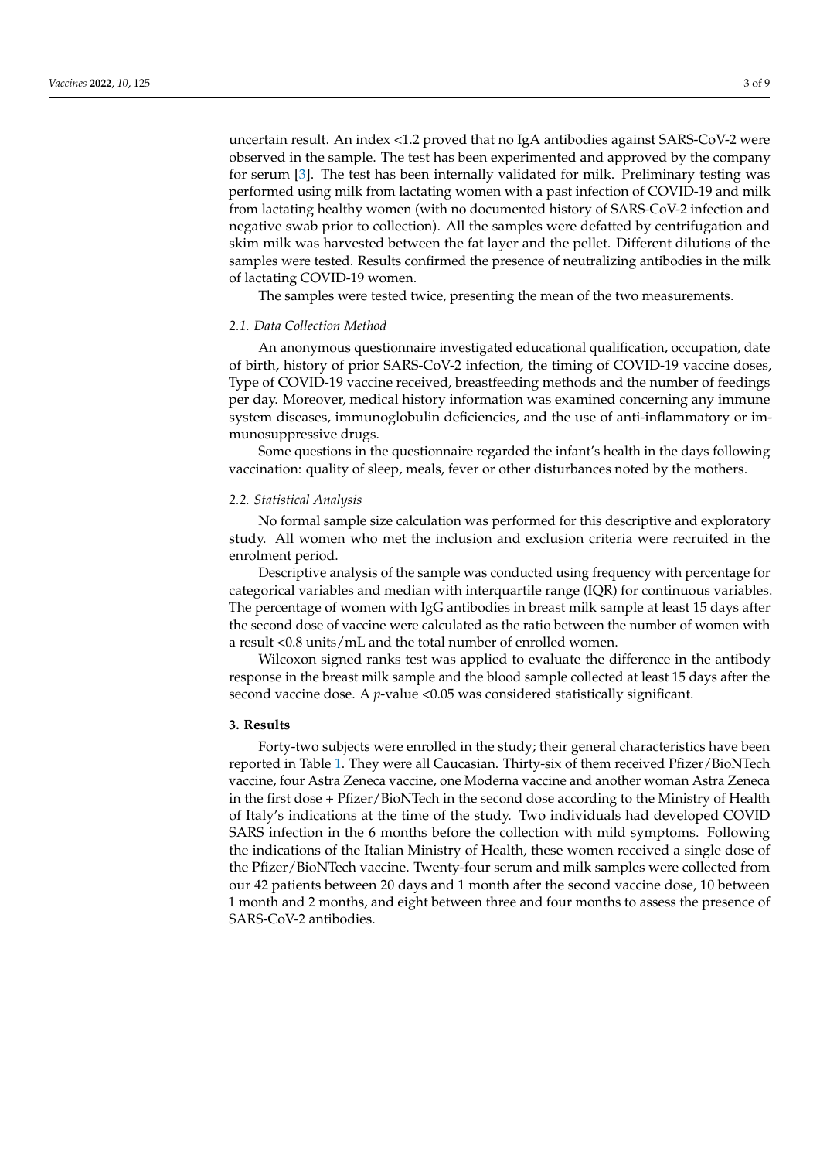uncertain result. An index <1.2 proved that no IgA antibodies against SARS-CoV-2 were observed in the sample. The test has been experimented and approved by the company for serum [\[3\]](#page-7-2). The test has been internally validated for milk. Preliminary testing was performed using milk from lactating women with a past infection of COVID-19 and milk from lactating healthy women (with no documented history of SARS-CoV-2 infection and negative swab prior to collection). All the samples were defatted by centrifugation and skim milk was harvested between the fat layer and the pellet. Different dilutions of the samples were tested. Results confirmed the presence of neutralizing antibodies in the milk of lactating COVID-19 women.

The samples were tested twice, presenting the mean of the two measurements.

### *2.1. Data Collection Method*

An anonymous questionnaire investigated educational qualification, occupation, date of birth, history of prior SARS-CoV-2 infection, the timing of COVID-19 vaccine doses, Type of COVID-19 vaccine received, breastfeeding methods and the number of feedings per day. Moreover, medical history information was examined concerning any immune system diseases, immunoglobulin deficiencies, and the use of anti-inflammatory or immunosuppressive drugs.

Some questions in the questionnaire regarded the infant's health in the days following vaccination: quality of sleep, meals, fever or other disturbances noted by the mothers.

#### *2.2. Statistical Analysis*

No formal sample size calculation was performed for this descriptive and exploratory study. All women who met the inclusion and exclusion criteria were recruited in the enrolment period.

Descriptive analysis of the sample was conducted using frequency with percentage for categorical variables and median with interquartile range (IQR) for continuous variables. The percentage of women with IgG antibodies in breast milk sample at least 15 days after the second dose of vaccine were calculated as the ratio between the number of women with a result <0.8 units/mL and the total number of enrolled women.

Wilcoxon signed ranks test was applied to evaluate the difference in the antibody response in the breast milk sample and the blood sample collected at least 15 days after the second vaccine dose. A *p*-value <0.05 was considered statistically significant.

## **3. Results**

Forty-two subjects were enrolled in the study; their general characteristics have been reported in Table [1.](#page-3-0) They were all Caucasian. Thirty-six of them received Pfizer/BioNTech vaccine, four Astra Zeneca vaccine, one Moderna vaccine and another woman Astra Zeneca in the first dose + Pfizer/BioNTech in the second dose according to the Ministry of Health of Italy's indications at the time of the study. Two individuals had developed COVID SARS infection in the 6 months before the collection with mild symptoms. Following the indications of the Italian Ministry of Health, these women received a single dose of the Pfizer/BioNTech vaccine. Twenty-four serum and milk samples were collected from our 42 patients between 20 days and 1 month after the second vaccine dose, 10 between 1 month and 2 months, and eight between three and four months to assess the presence of SARS-CoV-2 antibodies.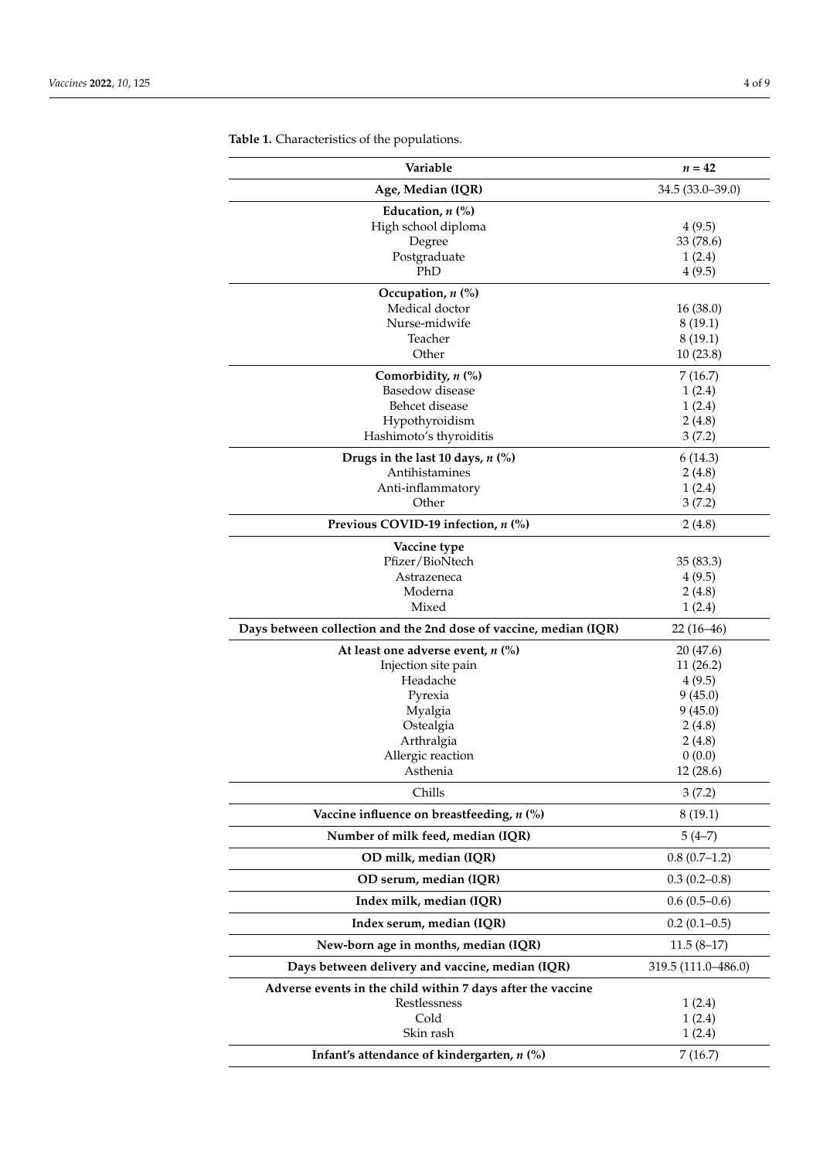| Age, Median (IQR)<br>34.5 (33.0-39.0)<br>Education, $n$ $\left(\% \right)$<br>High school diploma<br>4(9.5)<br>Degree<br>33 (78.6)<br>Postgraduate<br>1(2.4)<br>PhD<br>4(9.5)<br>Occupation, $n$ $\left(\% \right)$<br>Medical doctor<br>16(38.0)<br>Nurse-midwife<br>8(19.1)<br>Teacher<br>8(19.1)<br>Other<br>10(23.8)<br>Comorbidity, $n$ (%)<br>7(16.7)<br>Basedow disease<br>1(2.4)<br>Behcet disease<br>1(2.4)<br>Hypothyroidism<br>2(4.8)<br>Hashimoto's thyroiditis<br>3(7.2)<br>Drugs in the last 10 days, $n$ (%)<br>6(14.3)<br>Antihistamines<br>2(4.8)<br>Anti-inflammatory<br>1(2.4)<br>Other<br>3(7.2)<br>Previous COVID-19 infection, n (%)<br>2(4.8)<br>Vaccine type<br>Pfizer/BioNtech<br>35(83.3)<br>Astrazeneca<br>4(9.5)<br>Moderna<br>2(4.8)<br>Mixed<br>1(2.4)<br>Days between collection and the 2nd dose of vaccine, median (IQR)<br>$22(16-46)$<br>At least one adverse event, $n$ (%)<br>20 (47.6)<br>Injection site pain<br>11(26.2)<br>Headache<br>4(9.5)<br>Pyrexia<br>9(45.0)<br>9(45.0)<br>Myalgia<br>Ostealgia<br>2(4.8)<br>Arthralgia<br>2(4.8)<br>Allergic reaction<br>0(0.0)<br>12 (28.6)<br>Asthenia<br>Chills<br>3(7.2)<br>Vaccine influence on breastfeeding, $n$ (%)<br>8(19.1)<br>Number of milk feed, median (IQR)<br>$5(4-7)$<br>OD milk, median (IQR)<br>$0.8(0.7-1.2)$<br>OD serum, median (IQR)<br>$0.3(0.2-0.8)$<br>Index milk, median (IQR)<br>$0.6(0.5-0.6)$<br>Index serum, median (IQR)<br>$0.2(0.1-0.5)$<br>New-born age in months, median (IQR)<br>$11.5(8-17)$<br>Days between delivery and vaccine, median (IQR)<br>319.5 (111.0–486.0)<br>Adverse events in the child within 7 days after the vaccine<br>Restlessness<br>1(2.4)<br>Cold<br>1(2.4)<br>Skin rash<br>1(2.4) | Variable                                   | $n = 42$ |
|---------------------------------------------------------------------------------------------------------------------------------------------------------------------------------------------------------------------------------------------------------------------------------------------------------------------------------------------------------------------------------------------------------------------------------------------------------------------------------------------------------------------------------------------------------------------------------------------------------------------------------------------------------------------------------------------------------------------------------------------------------------------------------------------------------------------------------------------------------------------------------------------------------------------------------------------------------------------------------------------------------------------------------------------------------------------------------------------------------------------------------------------------------------------------------------------------------------------------------------------------------------------------------------------------------------------------------------------------------------------------------------------------------------------------------------------------------------------------------------------------------------------------------------------------------------------------------------------------------------------------------------------------------------------------------------------------------------------------------|--------------------------------------------|----------|
|                                                                                                                                                                                                                                                                                                                                                                                                                                                                                                                                                                                                                                                                                                                                                                                                                                                                                                                                                                                                                                                                                                                                                                                                                                                                                                                                                                                                                                                                                                                                                                                                                                                                                                                                 |                                            |          |
|                                                                                                                                                                                                                                                                                                                                                                                                                                                                                                                                                                                                                                                                                                                                                                                                                                                                                                                                                                                                                                                                                                                                                                                                                                                                                                                                                                                                                                                                                                                                                                                                                                                                                                                                 |                                            |          |
|                                                                                                                                                                                                                                                                                                                                                                                                                                                                                                                                                                                                                                                                                                                                                                                                                                                                                                                                                                                                                                                                                                                                                                                                                                                                                                                                                                                                                                                                                                                                                                                                                                                                                                                                 |                                            |          |
|                                                                                                                                                                                                                                                                                                                                                                                                                                                                                                                                                                                                                                                                                                                                                                                                                                                                                                                                                                                                                                                                                                                                                                                                                                                                                                                                                                                                                                                                                                                                                                                                                                                                                                                                 |                                            |          |
|                                                                                                                                                                                                                                                                                                                                                                                                                                                                                                                                                                                                                                                                                                                                                                                                                                                                                                                                                                                                                                                                                                                                                                                                                                                                                                                                                                                                                                                                                                                                                                                                                                                                                                                                 |                                            |          |
|                                                                                                                                                                                                                                                                                                                                                                                                                                                                                                                                                                                                                                                                                                                                                                                                                                                                                                                                                                                                                                                                                                                                                                                                                                                                                                                                                                                                                                                                                                                                                                                                                                                                                                                                 |                                            |          |
|                                                                                                                                                                                                                                                                                                                                                                                                                                                                                                                                                                                                                                                                                                                                                                                                                                                                                                                                                                                                                                                                                                                                                                                                                                                                                                                                                                                                                                                                                                                                                                                                                                                                                                                                 |                                            |          |
|                                                                                                                                                                                                                                                                                                                                                                                                                                                                                                                                                                                                                                                                                                                                                                                                                                                                                                                                                                                                                                                                                                                                                                                                                                                                                                                                                                                                                                                                                                                                                                                                                                                                                                                                 |                                            |          |
|                                                                                                                                                                                                                                                                                                                                                                                                                                                                                                                                                                                                                                                                                                                                                                                                                                                                                                                                                                                                                                                                                                                                                                                                                                                                                                                                                                                                                                                                                                                                                                                                                                                                                                                                 |                                            |          |
|                                                                                                                                                                                                                                                                                                                                                                                                                                                                                                                                                                                                                                                                                                                                                                                                                                                                                                                                                                                                                                                                                                                                                                                                                                                                                                                                                                                                                                                                                                                                                                                                                                                                                                                                 |                                            |          |
|                                                                                                                                                                                                                                                                                                                                                                                                                                                                                                                                                                                                                                                                                                                                                                                                                                                                                                                                                                                                                                                                                                                                                                                                                                                                                                                                                                                                                                                                                                                                                                                                                                                                                                                                 |                                            |          |
|                                                                                                                                                                                                                                                                                                                                                                                                                                                                                                                                                                                                                                                                                                                                                                                                                                                                                                                                                                                                                                                                                                                                                                                                                                                                                                                                                                                                                                                                                                                                                                                                                                                                                                                                 |                                            |          |
|                                                                                                                                                                                                                                                                                                                                                                                                                                                                                                                                                                                                                                                                                                                                                                                                                                                                                                                                                                                                                                                                                                                                                                                                                                                                                                                                                                                                                                                                                                                                                                                                                                                                                                                                 |                                            |          |
|                                                                                                                                                                                                                                                                                                                                                                                                                                                                                                                                                                                                                                                                                                                                                                                                                                                                                                                                                                                                                                                                                                                                                                                                                                                                                                                                                                                                                                                                                                                                                                                                                                                                                                                                 |                                            |          |
|                                                                                                                                                                                                                                                                                                                                                                                                                                                                                                                                                                                                                                                                                                                                                                                                                                                                                                                                                                                                                                                                                                                                                                                                                                                                                                                                                                                                                                                                                                                                                                                                                                                                                                                                 |                                            |          |
|                                                                                                                                                                                                                                                                                                                                                                                                                                                                                                                                                                                                                                                                                                                                                                                                                                                                                                                                                                                                                                                                                                                                                                                                                                                                                                                                                                                                                                                                                                                                                                                                                                                                                                                                 |                                            |          |
|                                                                                                                                                                                                                                                                                                                                                                                                                                                                                                                                                                                                                                                                                                                                                                                                                                                                                                                                                                                                                                                                                                                                                                                                                                                                                                                                                                                                                                                                                                                                                                                                                                                                                                                                 |                                            |          |
|                                                                                                                                                                                                                                                                                                                                                                                                                                                                                                                                                                                                                                                                                                                                                                                                                                                                                                                                                                                                                                                                                                                                                                                                                                                                                                                                                                                                                                                                                                                                                                                                                                                                                                                                 |                                            |          |
|                                                                                                                                                                                                                                                                                                                                                                                                                                                                                                                                                                                                                                                                                                                                                                                                                                                                                                                                                                                                                                                                                                                                                                                                                                                                                                                                                                                                                                                                                                                                                                                                                                                                                                                                 |                                            |          |
|                                                                                                                                                                                                                                                                                                                                                                                                                                                                                                                                                                                                                                                                                                                                                                                                                                                                                                                                                                                                                                                                                                                                                                                                                                                                                                                                                                                                                                                                                                                                                                                                                                                                                                                                 |                                            |          |
|                                                                                                                                                                                                                                                                                                                                                                                                                                                                                                                                                                                                                                                                                                                                                                                                                                                                                                                                                                                                                                                                                                                                                                                                                                                                                                                                                                                                                                                                                                                                                                                                                                                                                                                                 |                                            |          |
|                                                                                                                                                                                                                                                                                                                                                                                                                                                                                                                                                                                                                                                                                                                                                                                                                                                                                                                                                                                                                                                                                                                                                                                                                                                                                                                                                                                                                                                                                                                                                                                                                                                                                                                                 |                                            |          |
|                                                                                                                                                                                                                                                                                                                                                                                                                                                                                                                                                                                                                                                                                                                                                                                                                                                                                                                                                                                                                                                                                                                                                                                                                                                                                                                                                                                                                                                                                                                                                                                                                                                                                                                                 |                                            |          |
|                                                                                                                                                                                                                                                                                                                                                                                                                                                                                                                                                                                                                                                                                                                                                                                                                                                                                                                                                                                                                                                                                                                                                                                                                                                                                                                                                                                                                                                                                                                                                                                                                                                                                                                                 |                                            |          |
|                                                                                                                                                                                                                                                                                                                                                                                                                                                                                                                                                                                                                                                                                                                                                                                                                                                                                                                                                                                                                                                                                                                                                                                                                                                                                                                                                                                                                                                                                                                                                                                                                                                                                                                                 |                                            |          |
|                                                                                                                                                                                                                                                                                                                                                                                                                                                                                                                                                                                                                                                                                                                                                                                                                                                                                                                                                                                                                                                                                                                                                                                                                                                                                                                                                                                                                                                                                                                                                                                                                                                                                                                                 |                                            |          |
|                                                                                                                                                                                                                                                                                                                                                                                                                                                                                                                                                                                                                                                                                                                                                                                                                                                                                                                                                                                                                                                                                                                                                                                                                                                                                                                                                                                                                                                                                                                                                                                                                                                                                                                                 |                                            |          |
|                                                                                                                                                                                                                                                                                                                                                                                                                                                                                                                                                                                                                                                                                                                                                                                                                                                                                                                                                                                                                                                                                                                                                                                                                                                                                                                                                                                                                                                                                                                                                                                                                                                                                                                                 |                                            |          |
|                                                                                                                                                                                                                                                                                                                                                                                                                                                                                                                                                                                                                                                                                                                                                                                                                                                                                                                                                                                                                                                                                                                                                                                                                                                                                                                                                                                                                                                                                                                                                                                                                                                                                                                                 |                                            |          |
|                                                                                                                                                                                                                                                                                                                                                                                                                                                                                                                                                                                                                                                                                                                                                                                                                                                                                                                                                                                                                                                                                                                                                                                                                                                                                                                                                                                                                                                                                                                                                                                                                                                                                                                                 |                                            |          |
|                                                                                                                                                                                                                                                                                                                                                                                                                                                                                                                                                                                                                                                                                                                                                                                                                                                                                                                                                                                                                                                                                                                                                                                                                                                                                                                                                                                                                                                                                                                                                                                                                                                                                                                                 |                                            |          |
|                                                                                                                                                                                                                                                                                                                                                                                                                                                                                                                                                                                                                                                                                                                                                                                                                                                                                                                                                                                                                                                                                                                                                                                                                                                                                                                                                                                                                                                                                                                                                                                                                                                                                                                                 |                                            |          |
|                                                                                                                                                                                                                                                                                                                                                                                                                                                                                                                                                                                                                                                                                                                                                                                                                                                                                                                                                                                                                                                                                                                                                                                                                                                                                                                                                                                                                                                                                                                                                                                                                                                                                                                                 |                                            |          |
|                                                                                                                                                                                                                                                                                                                                                                                                                                                                                                                                                                                                                                                                                                                                                                                                                                                                                                                                                                                                                                                                                                                                                                                                                                                                                                                                                                                                                                                                                                                                                                                                                                                                                                                                 |                                            |          |
|                                                                                                                                                                                                                                                                                                                                                                                                                                                                                                                                                                                                                                                                                                                                                                                                                                                                                                                                                                                                                                                                                                                                                                                                                                                                                                                                                                                                                                                                                                                                                                                                                                                                                                                                 |                                            |          |
|                                                                                                                                                                                                                                                                                                                                                                                                                                                                                                                                                                                                                                                                                                                                                                                                                                                                                                                                                                                                                                                                                                                                                                                                                                                                                                                                                                                                                                                                                                                                                                                                                                                                                                                                 |                                            |          |
|                                                                                                                                                                                                                                                                                                                                                                                                                                                                                                                                                                                                                                                                                                                                                                                                                                                                                                                                                                                                                                                                                                                                                                                                                                                                                                                                                                                                                                                                                                                                                                                                                                                                                                                                 |                                            |          |
|                                                                                                                                                                                                                                                                                                                                                                                                                                                                                                                                                                                                                                                                                                                                                                                                                                                                                                                                                                                                                                                                                                                                                                                                                                                                                                                                                                                                                                                                                                                                                                                                                                                                                                                                 |                                            |          |
|                                                                                                                                                                                                                                                                                                                                                                                                                                                                                                                                                                                                                                                                                                                                                                                                                                                                                                                                                                                                                                                                                                                                                                                                                                                                                                                                                                                                                                                                                                                                                                                                                                                                                                                                 |                                            |          |
|                                                                                                                                                                                                                                                                                                                                                                                                                                                                                                                                                                                                                                                                                                                                                                                                                                                                                                                                                                                                                                                                                                                                                                                                                                                                                                                                                                                                                                                                                                                                                                                                                                                                                                                                 |                                            |          |
|                                                                                                                                                                                                                                                                                                                                                                                                                                                                                                                                                                                                                                                                                                                                                                                                                                                                                                                                                                                                                                                                                                                                                                                                                                                                                                                                                                                                                                                                                                                                                                                                                                                                                                                                 |                                            |          |
|                                                                                                                                                                                                                                                                                                                                                                                                                                                                                                                                                                                                                                                                                                                                                                                                                                                                                                                                                                                                                                                                                                                                                                                                                                                                                                                                                                                                                                                                                                                                                                                                                                                                                                                                 |                                            |          |
|                                                                                                                                                                                                                                                                                                                                                                                                                                                                                                                                                                                                                                                                                                                                                                                                                                                                                                                                                                                                                                                                                                                                                                                                                                                                                                                                                                                                                                                                                                                                                                                                                                                                                                                                 |                                            |          |
|                                                                                                                                                                                                                                                                                                                                                                                                                                                                                                                                                                                                                                                                                                                                                                                                                                                                                                                                                                                                                                                                                                                                                                                                                                                                                                                                                                                                                                                                                                                                                                                                                                                                                                                                 |                                            |          |
|                                                                                                                                                                                                                                                                                                                                                                                                                                                                                                                                                                                                                                                                                                                                                                                                                                                                                                                                                                                                                                                                                                                                                                                                                                                                                                                                                                                                                                                                                                                                                                                                                                                                                                                                 |                                            |          |
|                                                                                                                                                                                                                                                                                                                                                                                                                                                                                                                                                                                                                                                                                                                                                                                                                                                                                                                                                                                                                                                                                                                                                                                                                                                                                                                                                                                                                                                                                                                                                                                                                                                                                                                                 |                                            |          |
|                                                                                                                                                                                                                                                                                                                                                                                                                                                                                                                                                                                                                                                                                                                                                                                                                                                                                                                                                                                                                                                                                                                                                                                                                                                                                                                                                                                                                                                                                                                                                                                                                                                                                                                                 |                                            |          |
|                                                                                                                                                                                                                                                                                                                                                                                                                                                                                                                                                                                                                                                                                                                                                                                                                                                                                                                                                                                                                                                                                                                                                                                                                                                                                                                                                                                                                                                                                                                                                                                                                                                                                                                                 |                                            |          |
|                                                                                                                                                                                                                                                                                                                                                                                                                                                                                                                                                                                                                                                                                                                                                                                                                                                                                                                                                                                                                                                                                                                                                                                                                                                                                                                                                                                                                                                                                                                                                                                                                                                                                                                                 |                                            |          |
|                                                                                                                                                                                                                                                                                                                                                                                                                                                                                                                                                                                                                                                                                                                                                                                                                                                                                                                                                                                                                                                                                                                                                                                                                                                                                                                                                                                                                                                                                                                                                                                                                                                                                                                                 | Infant's attendance of kindergarten, n (%) | 7 (16.7) |

<span id="page-3-0"></span>**Table 1.** Characteristics of the populations.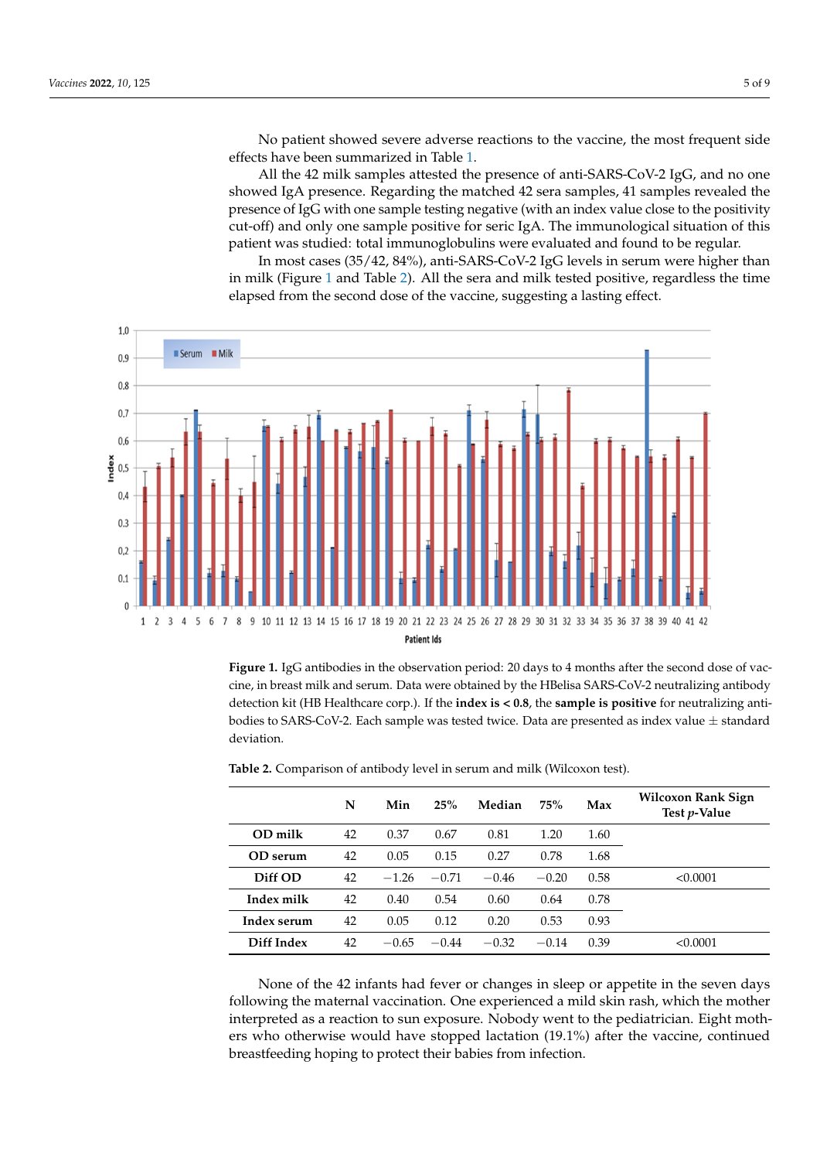No patient showed severe adverse reactions to the vaccine, the most frequent side effects have been summarized in Table [1.](#page-3-0)

All the 42 milk samples attested the presence of anti-SARS-CoV-2 IgG, and no one showed IgA presence. Regarding the matched 42 sera samples, 41 samples revealed the presence of IgG with one sample testing negative (with an index value close to the positivity cut-off) and only one sample positive for seric IgA. The immunological situation of this patient was studied: total immunoglobulins were evaluated and found to be regular.

In most cases (35/42, 84%), anti-SARS-CoV-2 IgG levels in serum were higher than in milk (Figure [1](#page-4-0) and Table [2\)](#page-4-1). All the sera and milk tested positive, regardless the time elapsed from the second dose of the vaccine, suggesting a lasting effect.

<span id="page-4-0"></span>

**Figure 1.** IgG antibodies in the observation period: 20 days to 4 months after the second dose of **Figure 1.** IgG antibodies in the observation period: 20 days to 4 months after the second dose of vaccine, in breast milk and serum. Data were obtained by the HBelisa SARS-CoV-2 neutralizing antibody cine, in breast milk and serum. Data were obtained by the HBelisa SARS-CoV-2 neutralizing antibody<br>detection kit (HB Healthcare corp.). If the **index is < 0.8**, the **sample is positive** for neutralizing antibodies to SARS-CoV-2. Each sample was tested twice. Data are presented as index value  $\pm$  standard deviation.

|             | N  | Min     | 25%     | Median  | 75%     | Max  | Wilcoxon Rank Sign<br>Test p-Value |
|-------------|----|---------|---------|---------|---------|------|------------------------------------|
| OD milk     | 42 | 0.37    | 0.67    | 0.81    | 1.20    | 1.60 |                                    |
| OD serum    | 42 | 0.05    | 0.15    | 0.27    | 0.78    | 1.68 |                                    |
| Diff OD     | 42 | $-1.26$ | $-0.71$ | $-0.46$ | $-0.20$ | 0.58 | < 0.0001                           |
| Index milk  | 42 | 0.40    | 0.54    | 0.60    | 0.64    | 0.78 |                                    |
| Index serum | 42 | 0.05    | 0.12    | 0.20    | 0.53    | 0.93 |                                    |
| Diff Index  | 42 | $-0.65$ | $-0.44$ | $-0.32$ | $-0.14$ | 0.39 | < 0.0001                           |

<span id="page-4-1"></span>Table 2. Comparison of antibody level in serum and milk (Wilcoxon test).

None of the 42 infants had fever or changes in sleep or appetite in the seven days following the maternal vaccination. One experienced a mild skin rash, which the mother interpreted as a reaction to sun exposure. Nobody went to the pediatrician. Eight mothers who otherwise would have stopped lactation (19.1%) after the vaccine, continued breastfeeding hoping to protect their babies from infection.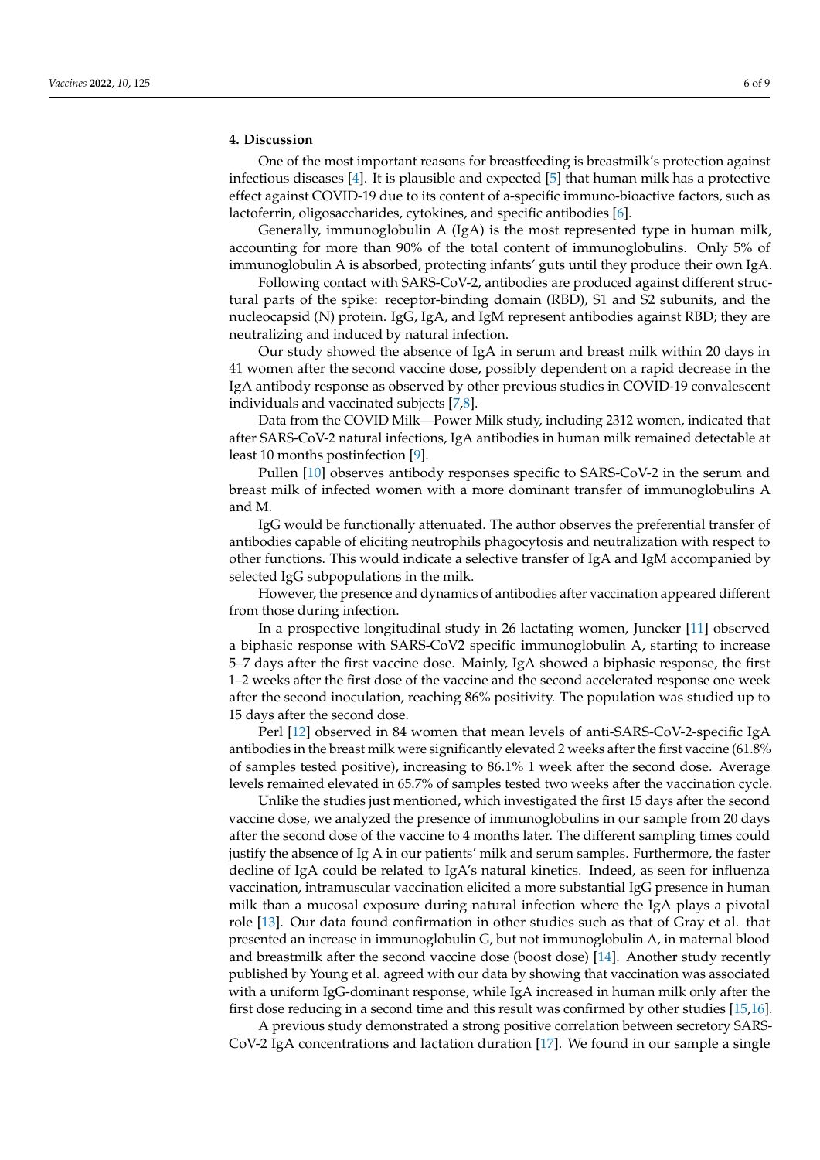# **4. Discussion**

One of the most important reasons for breastfeeding is breastmilk's protection against infectious diseases [\[4\]](#page-7-3). It is plausible and expected [\[5\]](#page-7-4) that human milk has a protective effect against COVID-19 due to its content of a-specific immuno-bioactive factors, such as lactoferrin, oligosaccharides, cytokines, and specific antibodies [\[6\]](#page-7-5).

Generally, immunoglobulin A (IgA) is the most represented type in human milk, accounting for more than 90% of the total content of immunoglobulins. Only 5% of immunoglobulin A is absorbed, protecting infants' guts until they produce their own IgA.

Following contact with SARS-CoV-2, antibodies are produced against different structural parts of the spike: receptor-binding domain (RBD), S1 and S2 subunits, and the nucleocapsid (N) protein. IgG, IgA, and IgM represent antibodies against RBD; they are neutralizing and induced by natural infection.

Our study showed the absence of IgA in serum and breast milk within 20 days in 41 women after the second vaccine dose, possibly dependent on a rapid decrease in the IgA antibody response as observed by other previous studies in COVID-19 convalescent individuals and vaccinated subjects [\[7](#page-7-6)[,8\]](#page-8-0).

Data from the COVID Milk—Power Milk study, including 2312 women, indicated that after SARS-CoV-2 natural infections, IgA antibodies in human milk remained detectable at least 10 months postinfection [\[9\]](#page-8-1).

Pullen [\[10\]](#page-8-2) observes antibody responses specific to SARS-CoV-2 in the serum and breast milk of infected women with a more dominant transfer of immunoglobulins A and M.

IgG would be functionally attenuated. The author observes the preferential transfer of antibodies capable of eliciting neutrophils phagocytosis and neutralization with respect to other functions. This would indicate a selective transfer of IgA and IgM accompanied by selected IgG subpopulations in the milk.

However, the presence and dynamics of antibodies after vaccination appeared different from those during infection.

In a prospective longitudinal study in 26 lactating women, Juncker [\[11\]](#page-8-3) observed a biphasic response with SARS-CoV2 specific immunoglobulin A, starting to increase 5–7 days after the first vaccine dose. Mainly, IgA showed a biphasic response, the first 1–2 weeks after the first dose of the vaccine and the second accelerated response one week after the second inoculation, reaching 86% positivity. The population was studied up to 15 days after the second dose.

Perl [\[12\]](#page-8-4) observed in 84 women that mean levels of anti-SARS-CoV-2-specific IgA antibodies in the breast milk were significantly elevated 2 weeks after the first vaccine (61.8% of samples tested positive), increasing to 86.1% 1 week after the second dose. Average levels remained elevated in 65.7% of samples tested two weeks after the vaccination cycle.

Unlike the studies just mentioned, which investigated the first 15 days after the second vaccine dose, we analyzed the presence of immunoglobulins in our sample from 20 days after the second dose of the vaccine to 4 months later. The different sampling times could justify the absence of Ig A in our patients' milk and serum samples. Furthermore, the faster decline of IgA could be related to IgA's natural kinetics. Indeed, as seen for influenza vaccination, intramuscular vaccination elicited a more substantial IgG presence in human milk than a mucosal exposure during natural infection where the IgA plays a pivotal role [\[13\]](#page-8-5). Our data found confirmation in other studies such as that of Gray et al. that presented an increase in immunoglobulin G, but not immunoglobulin A, in maternal blood and breastmilk after the second vaccine dose (boost dose) [\[14\]](#page-8-6). Another study recently published by Young et al. agreed with our data by showing that vaccination was associated with a uniform IgG-dominant response, while IgA increased in human milk only after the first dose reducing in a second time and this result was confirmed by other studies [\[15](#page-8-7)[,16\]](#page-8-8).

A previous study demonstrated a strong positive correlation between secretory SARS-CoV-2 IgA concentrations and lactation duration [\[17\]](#page-8-9). We found in our sample a single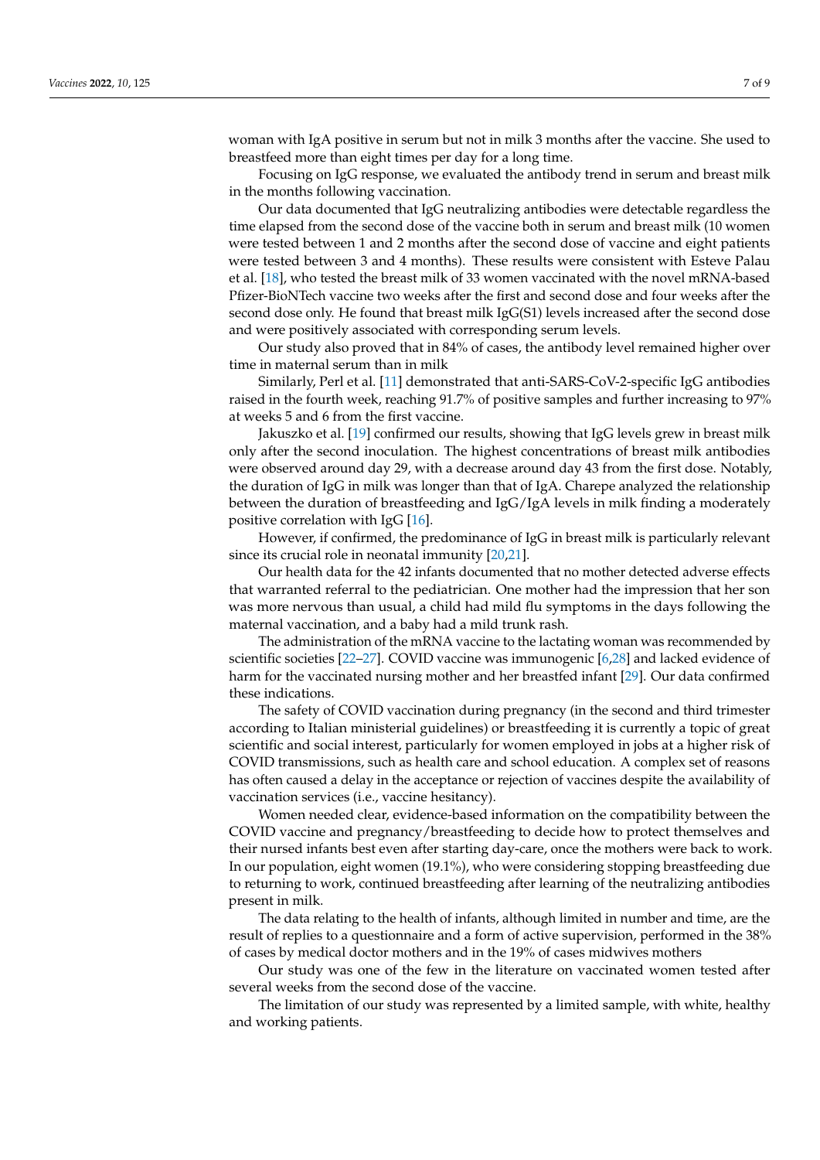woman with IgA positive in serum but not in milk 3 months after the vaccine. She used to breastfeed more than eight times per day for a long time.

Focusing on IgG response, we evaluated the antibody trend in serum and breast milk in the months following vaccination.

Our data documented that IgG neutralizing antibodies were detectable regardless the time elapsed from the second dose of the vaccine both in serum and breast milk (10 women were tested between 1 and 2 months after the second dose of vaccine and eight patients were tested between 3 and 4 months). These results were consistent with Esteve Palau et al. [\[18\]](#page-8-10), who tested the breast milk of 33 women vaccinated with the novel mRNA-based Pfizer-BioNTech vaccine two weeks after the first and second dose and four weeks after the second dose only. He found that breast milk IgG(S1) levels increased after the second dose and were positively associated with corresponding serum levels.

Our study also proved that in 84% of cases, the antibody level remained higher over time in maternal serum than in milk

Similarly, Perl et al. [\[11\]](#page-8-3) demonstrated that anti-SARS-CoV-2-specific IgG antibodies raised in the fourth week, reaching 91.7% of positive samples and further increasing to 97% at weeks 5 and 6 from the first vaccine.

Jakuszko et al. [\[19\]](#page-8-11) confirmed our results, showing that IgG levels grew in breast milk only after the second inoculation. The highest concentrations of breast milk antibodies were observed around day 29, with a decrease around day 43 from the first dose. Notably, the duration of IgG in milk was longer than that of IgA. Charepe analyzed the relationship between the duration of breastfeeding and IgG/IgA levels in milk finding a moderately positive correlation with IgG [\[16\]](#page-8-8).

However, if confirmed, the predominance of IgG in breast milk is particularly relevant since its crucial role in neonatal immunity [\[20,](#page-8-12)[21\]](#page-8-13).

Our health data for the 42 infants documented that no mother detected adverse effects that warranted referral to the pediatrician. One mother had the impression that her son was more nervous than usual, a child had mild flu symptoms in the days following the maternal vaccination, and a baby had a mild trunk rash.

The administration of the mRNA vaccine to the lactating woman was recommended by scientific societies [\[22–](#page-8-14)[27\]](#page-8-15). COVID vaccine was immunogenic [\[6,](#page-7-5)[28\]](#page-8-16) and lacked evidence of harm for the vaccinated nursing mother and her breastfed infant [\[29\]](#page-8-17). Our data confirmed these indications.

The safety of COVID vaccination during pregnancy (in the second and third trimester according to Italian ministerial guidelines) or breastfeeding it is currently a topic of great scientific and social interest, particularly for women employed in jobs at a higher risk of COVID transmissions, such as health care and school education. A complex set of reasons has often caused a delay in the acceptance or rejection of vaccines despite the availability of vaccination services (i.e., vaccine hesitancy).

Women needed clear, evidence-based information on the compatibility between the COVID vaccine and pregnancy/breastfeeding to decide how to protect themselves and their nursed infants best even after starting day-care, once the mothers were back to work. In our population, eight women (19.1%), who were considering stopping breastfeeding due to returning to work, continued breastfeeding after learning of the neutralizing antibodies present in milk.

The data relating to the health of infants, although limited in number and time, are the result of replies to a questionnaire and a form of active supervision, performed in the 38% of cases by medical doctor mothers and in the 19% of cases midwives mothers

Our study was one of the few in the literature on vaccinated women tested after several weeks from the second dose of the vaccine.

The limitation of our study was represented by a limited sample, with white, healthy and working patients.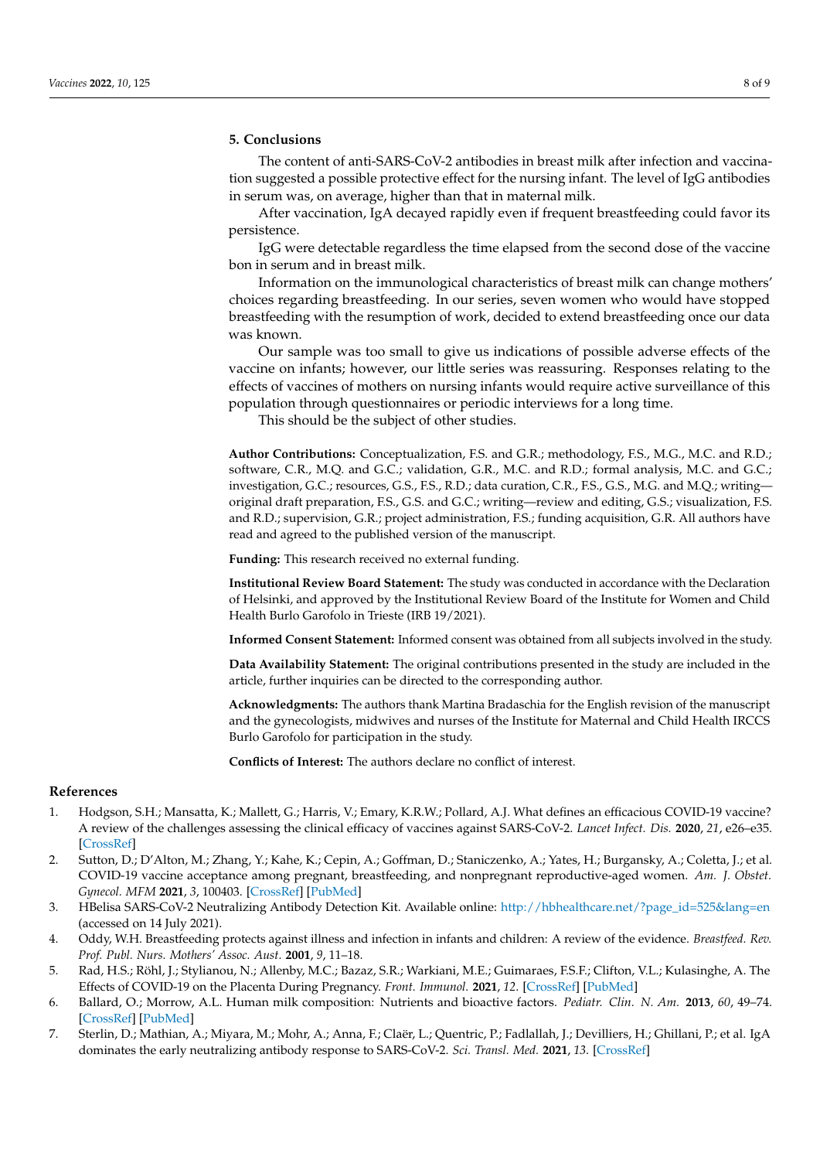# **5. Conclusions**

The content of anti-SARS-CoV-2 antibodies in breast milk after infection and vaccination suggested a possible protective effect for the nursing infant. The level of IgG antibodies in serum was, on average, higher than that in maternal milk.

After vaccination, IgA decayed rapidly even if frequent breastfeeding could favor its persistence.

IgG were detectable regardless the time elapsed from the second dose of the vaccine bon in serum and in breast milk.

Information on the immunological characteristics of breast milk can change mothers' choices regarding breastfeeding. In our series, seven women who would have stopped breastfeeding with the resumption of work, decided to extend breastfeeding once our data was known.

Our sample was too small to give us indications of possible adverse effects of the vaccine on infants; however, our little series was reassuring. Responses relating to the effects of vaccines of mothers on nursing infants would require active surveillance of this population through questionnaires or periodic interviews for a long time.

This should be the subject of other studies.

**Author Contributions:** Conceptualization, F.S. and G.R.; methodology, F.S., M.G., M.C. and R.D.; software, C.R., M.Q. and G.C.; validation, G.R., M.C. and R.D.; formal analysis, M.C. and G.C.; investigation, G.C.; resources, G.S., F.S., R.D.; data curation, C.R., F.S., G.S., M.G. and M.Q.; writing original draft preparation, F.S., G.S. and G.C.; writing—review and editing, G.S.; visualization, F.S. and R.D.; supervision, G.R.; project administration, F.S.; funding acquisition, G.R. All authors have read and agreed to the published version of the manuscript.

**Funding:** This research received no external funding.

**Institutional Review Board Statement:** The study was conducted in accordance with the Declaration of Helsinki, and approved by the Institutional Review Board of the Institute for Women and Child Health Burlo Garofolo in Trieste (IRB 19/2021).

**Informed Consent Statement:** Informed consent was obtained from all subjects involved in the study.

**Data Availability Statement:** The original contributions presented in the study are included in the article, further inquiries can be directed to the corresponding author.

**Acknowledgments:** The authors thank Martina Bradaschia for the English revision of the manuscript and the gynecologists, midwives and nurses of the Institute for Maternal and Child Health IRCCS Burlo Garofolo for participation in the study.

**Conflicts of Interest:** The authors declare no conflict of interest.

# **References**

- <span id="page-7-0"></span>1. Hodgson, S.H.; Mansatta, K.; Mallett, G.; Harris, V.; Emary, K.R.W.; Pollard, A.J. What defines an efficacious COVID-19 vaccine? A review of the challenges assessing the clinical efficacy of vaccines against SARS-CoV-2. *Lancet Infect. Dis.* **2020**, *21*, e26–e35. [\[CrossRef\]](http://doi.org/10.1016/s1473-3099(20)30773-8)
- <span id="page-7-1"></span>2. Sutton, D.; D'Alton, M.; Zhang, Y.; Kahe, K.; Cepin, A.; Goffman, D.; Staniczenko, A.; Yates, H.; Burgansky, A.; Coletta, J.; et al. COVID-19 vaccine acceptance among pregnant, breastfeeding, and nonpregnant reproductive-aged women. *Am. J. Obstet. Gynecol. MFM* **2021**, *3*, 100403. [\[CrossRef\]](http://doi.org/10.1016/j.ajogmf.2021.100403) [\[PubMed\]](http://www.ncbi.nlm.nih.gov/pubmed/34048965)
- <span id="page-7-2"></span>3. HBelisa SARS-CoV-2 Neutralizing Antibody Detection Kit. Available online: [http://hbhealthcare.net/?page\\_id=525&lang=en](http://hbhealthcare.net/?page_id=525&lang=en) (accessed on 14 July 2021).
- <span id="page-7-3"></span>4. Oddy, W.H. Breastfeeding protects against illness and infection in infants and children: A review of the evidence. *Breastfeed. Rev. Prof. Publ. Nurs. Mothers' Assoc. Aust.* **2001**, *9*, 11–18.
- <span id="page-7-4"></span>5. Rad, H.S.; Röhl, J.; Stylianou, N.; Allenby, M.C.; Bazaz, S.R.; Warkiani, M.E.; Guimaraes, F.S.F.; Clifton, V.L.; Kulasinghe, A. The Effects of COVID-19 on the Placenta During Pregnancy. *Front. Immunol.* **2021**, *12*. [\[CrossRef\]](http://doi.org/10.3389/fimmu.2021.743022) [\[PubMed\]](http://www.ncbi.nlm.nih.gov/pubmed/34603330)
- <span id="page-7-5"></span>6. Ballard, O.; Morrow, A.L. Human milk composition: Nutrients and bioactive factors. *Pediatr. Clin. N. Am.* **2013**, *60*, 49–74. [\[CrossRef\]](http://doi.org/10.1016/j.pcl.2012.10.002) [\[PubMed\]](http://www.ncbi.nlm.nih.gov/pubmed/23178060)
- <span id="page-7-6"></span>7. Sterlin, D.; Mathian, A.; Miyara, M.; Mohr, A.; Anna, F.; Claër, L.; Quentric, P.; Fadlallah, J.; Devilliers, H.; Ghillani, P.; et al. IgA dominates the early neutralizing antibody response to SARS-CoV-2. *Sci. Transl. Med.* **2021**, *13*. [\[CrossRef\]](http://doi.org/10.1126/scitranslmed.abd2223)